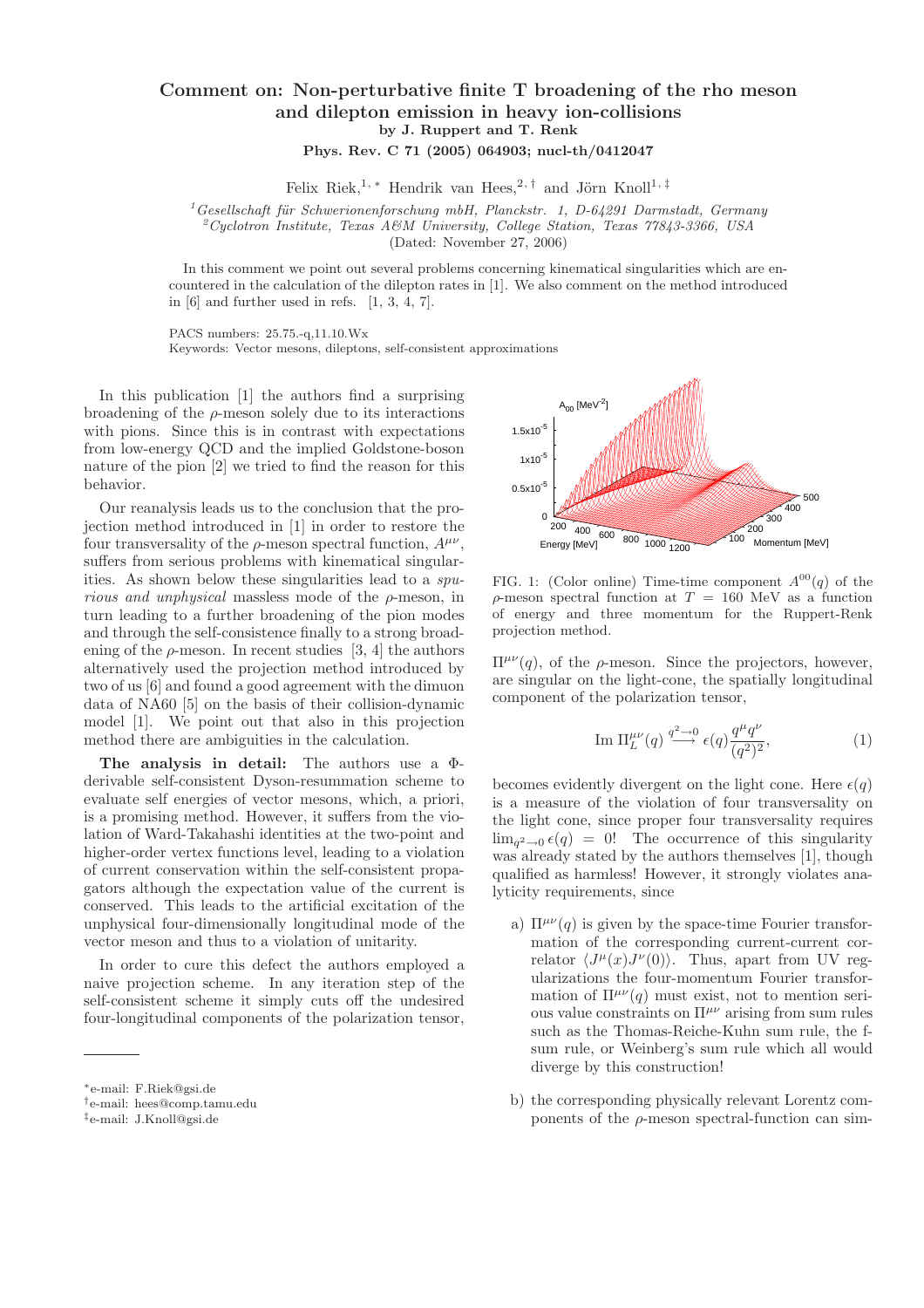## Comment on: Non-perturbative finite T broadening of the rho meson and dilepton emission in heavy ion-collisions by J. Ruppert and T. Renk

Phys. Rev. C 71 (2005) 064903; nucl-th/0412047

Felix Riek,<sup>1,\*</sup> Hendrik van Hees,<sup>2,†</sup> and Jörn Knoll<sup>1,‡</sup>

 $^{1}$ Gesellschaft für Schwerionenforschung mbH, Planckstr. 1, D-64291 Darmstadt, Germany

 $2^2$ Cyclotron Institute, Texas A&M University, College Station, Texas 77843-3366, USA

(Dated: November 27, 2006)

In this comment we point out several problems concerning kinematical singularities which are encountered in the calculation of the dilepton rates in [1]. We also comment on the method introduced in [6] and further used in refs. [1, 3, 4, 7].

PACS numbers: 25.75.-q,11.10.Wx Keywords: Vector mesons, dileptons, self-consistent approximations

In this publication [1] the authors find a surprising broadening of the  $\rho$ -meson solely due to its interactions with pions. Since this is in contrast with expectations from low-energy QCD and the implied Goldstone-boson nature of the pion [2] we tried to find the reason for this behavior.

Our reanalysis leads us to the conclusion that the projection method introduced in [1] in order to restore the four transversality of the  $\rho$ -meson spectral function,  $A^{\mu\nu}$ , suffers from serious problems with kinematical singularities. As shown below these singularities lead to a spu*rious and unphysical* massless mode of the  $\rho$ -meson, in turn leading to a further broadening of the pion modes and through the self-consistence finally to a strong broadening of the  $\rho$ -meson. In recent studies [3, 4] the authors alternatively used the projection method introduced by two of us [6] and found a good agreement with the dimuon data of NA60 [5] on the basis of their collision-dynamic model [1]. We point out that also in this projection method there are ambiguities in the calculation.

The analysis in detail: The authors use a Φderivable self-consistent Dyson-resummation scheme to evaluate self energies of vector mesons, which, a priori, is a promising method. However, it suffers from the violation of Ward-Takahashi identities at the two-point and higher-order vertex functions level, leading to a violation of current conservation within the self-consistent propagators although the expectation value of the current is conserved. This leads to the artificial excitation of the unphysical four-dimensionally longitudinal mode of the vector meson and thus to a violation of unitarity.

In order to cure this defect the authors employed a naive projection scheme. In any iteration step of the self-consistent scheme it simply cuts off the undesired four-longitudinal components of the polarization tensor,

†e-mail: hees@comp.tamu.edu



FIG. 1: (Color online) Time-time component  $A^{00}(q)$  of the ρ-meson spectral function at T = 160 MeV as a function of energy and three momentum for the Ruppert-Renk projection method.

 $\Pi^{\mu\nu}(q)$ , of the ρ-meson. Since the projectors, however, are singular on the light-cone, the spatially longitudinal component of the polarization tensor,

Im 
$$
\Pi_L^{\mu\nu}(q) \stackrel{q^2 \to 0}{\longrightarrow} \epsilon(q) \frac{q^{\mu} q^{\nu}}{(q^2)^2},
$$
 (1)

becomes evidently divergent on the light cone. Here  $\epsilon(q)$ is a measure of the violation of four transversality on the light cone, since proper four transversality requires  $\lim_{q^2 \to 0} \epsilon(q) = 0!$  The occurrence of this singularity was already stated by the authors themselves [1], though qualified as harmless! However, it strongly violates analyticity requirements, since

- a)  $\Pi^{\mu\nu}(q)$  is given by the space-time Fourier transformation of the corresponding current-current correlator  $\langle J^{\mu}(x)J^{\nu}(0)\rangle$ . Thus, apart from UV regularizations the four-momentum Fourier transformation of  $\Pi^{\mu\nu}(q)$  must exist, not to mention serious value constraints on  $\Pi^{\mu\nu}$  arising from sum rules such as the Thomas-Reiche-Kuhn sum rule, the fsum rule, or Weinberg's sum rule which all would diverge by this construction!
- b) the corresponding physically relevant Lorentz components of the  $\rho$ -meson spectral-function can sim-

<sup>∗</sup>e-mail: F.Riek@gsi.de

<sup>‡</sup>e-mail: J.Knoll@gsi.de